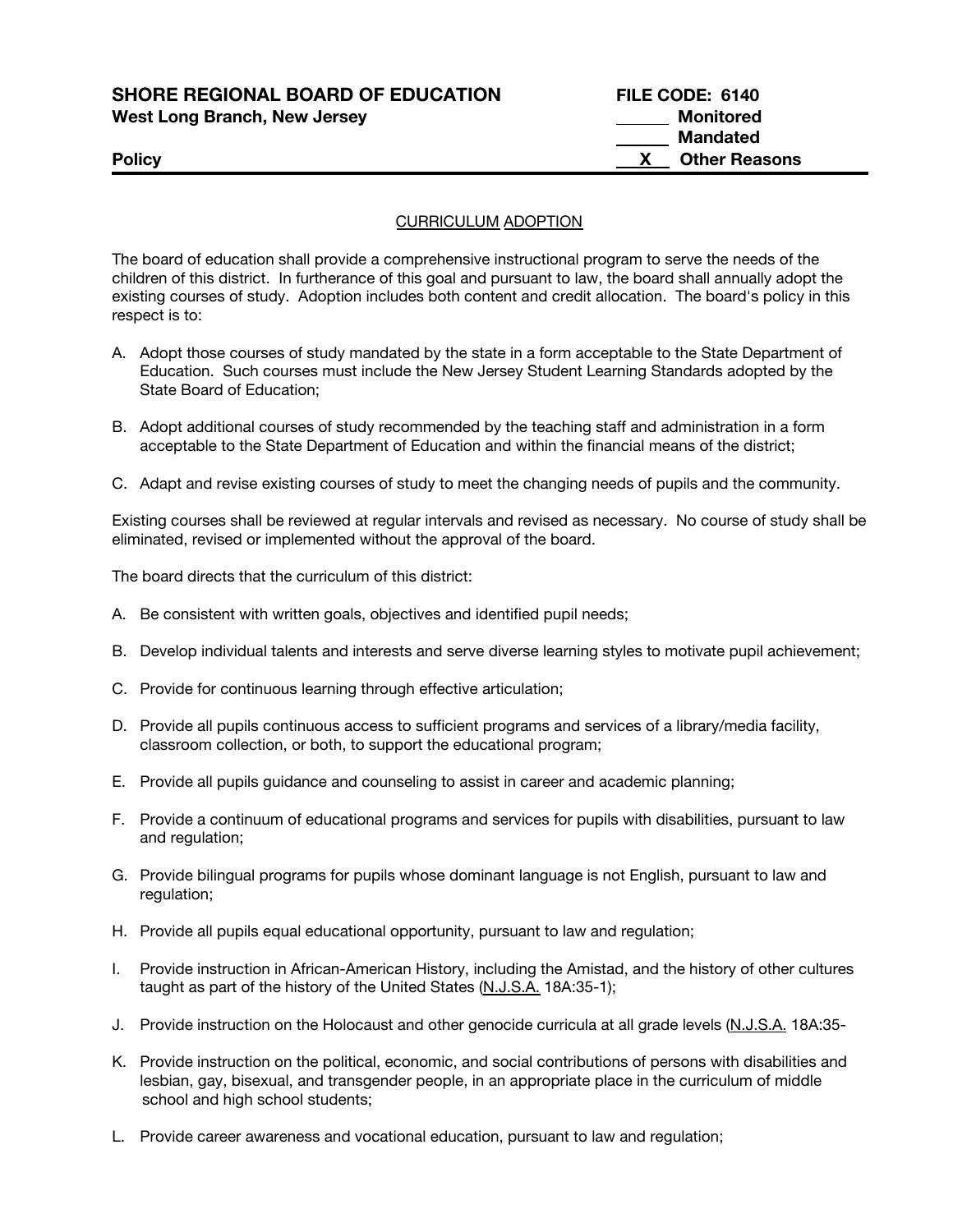| <b>SHORE REGIONAL BOARD OF EDUCATION</b> | FILE CODE: 6140                      |
|------------------------------------------|--------------------------------------|
| <b>West Long Branch, New Jersey</b>      | Monitored<br><b>Mandated</b>         |
| <b>Policy</b>                            | <b>Other Reasons</b><br>$\mathbf{x}$ |
|                                          |                                      |

## CURRICULUM ADOPTION

The board of education shall provide a comprehensive instructional program to serve the needs of the children of this district. In furtherance of this goal and pursuant to law, the board shall annually adopt the existing courses of study. Adoption includes both content and credit allocation. The board's policy in this respect is to:

- A. Adopt those courses of study mandated by the state in a form acceptable to the State Department of Education. Such courses must include the New Jersey Student Learning Standards adopted by the State Board of Education;
- B. Adopt additional courses of study recommended by the teaching staff and administration in a form acceptable to the State Department of Education and within the financial means of the district;
- C. Adapt and revise existing courses of study to meet the changing needs of pupils and the community.

Existing courses shall be reviewed at regular intervals and revised as necessary. No course of study shall be eliminated, revised or implemented without the approval of the board.

The board directs that the curriculum of this district:

- A. Be consistent with written goals, objectives and identified pupil needs;
- B. Develop individual talents and interests and serve diverse learning styles to motivate pupil achievement;
- C. Provide for continuous learning through effective articulation;
- D. Provide all pupils continuous access to sufficient programs and services of a library/media facility, classroom collection, or both, to support the educational program;
- E. Provide all pupils guidance and counseling to assist in career and academic planning;
- F. Provide a continuum of educational programs and services for pupils with disabilities, pursuant to law and regulation;
- G. Provide bilingual programs for pupils whose dominant language is not English, pursuant to law and regulation;
- H. Provide all pupils equal educational opportunity, pursuant to law and regulation;
- I. Provide instruction in African-American History, including the Amistad, and the history of other cultures taught as part of the history of the United States (N.J.S.A. 18A:35-1);
- J. Provide instruction on the Holocaust and other genocide curricula at all grade levels (N.J.S.A. 18A:35-
- K. Provide instruction on the political, economic, and social contributions of persons with disabilities and lesbian, gay, bisexual, and transgender people, in an appropriate place in the curriculum of middle school and high school students;
- L. Provide career awareness and vocational education, pursuant to law and regulation;